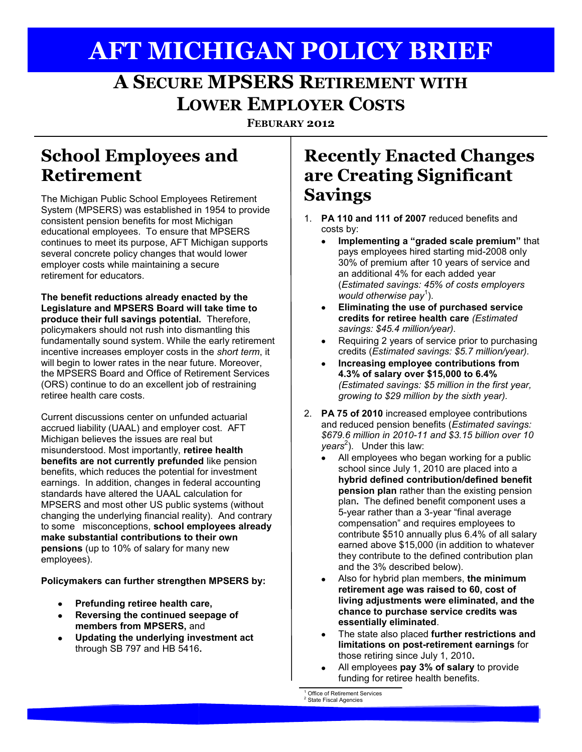# **AFT MICHIGAN POLICY BRIEF**

## **A&SECURE MPSERS&RETIREMENT WITH LOWER EMPLOYER COSTS**

**FEBURARY 2012**

#### **School Employees and Retirement**

The Michigan Public School Employees Retirement System (MPSERS) was established in 1954 to provide consistent pension benefits for most Michigan educational employees. To ensure that MPSERS continues to meet its purpose, AFT Michigan supports several concrete policy changes that would lower employer costs while maintaining a secure retirement for educators.

The benefit reductions already enacted by the **Legislature and MPSERS Board will take time to** produce their full savings potential. Therefore, policymakers should not rush into dismantling this fundamentally sound system. While the early retirement incentive increases employer costs in the *short term*, it will begin to lower rates in the near future. Moreover, the MPSERS Board and Office of Retirement Services (ORS) continue to do an excellent job of restraining retiree health care costs.

Current discussions center on unfunded actuarial accrued liability (UAAL) and employer cost. AFT Michigan believes the issues are real but misunderstood. Most importantly, retiree health **benefits are not currently prefunded** like pension benefits, which reduces the potential for investment earnings. In addition, changes in federal accounting standards have altered the UAAL calculation for MPSERS and most other US public systems (without changing the underlying financial reality). And contrary to some misconceptions, **school employees already** make substantial contributions to their own **pensions** (up to 10% of salary for many new employees).

Policymakers can further strengthen MPSERS by:

- **Prefunding retiree health care,**
- $\bullet$ **Reversing the continued seepage of** members from MPSERS, and
- **Updating the underlying investment act**  $\bullet$ through SB 797 and HB 5416.

#### **Recently&Enacted&Changes& are&Creating&Significant& Savings**

- 1. **PA 110 and 111 of 2007** reduced benefits and costs by:
	- **Implementing a "graded scale premium"** that pays employees hired starting mid-2008 only 30% of premium after 10 years of service and an additional 4% for each added year (*Estimated&savings:&45%&of&costs&employers&* would otherwise pay<sup>1</sup>).
	- **Eliminating the use of purchased service**  $\bullet$ **credits\$for\$retiree\$health\$care** *(Estimated&&* savings: \$45.4 million/year).
	- Requiring 2 years of service prior to purchasing credits (*Estimated savings: \$5.7 million/year*).
	- **Increasing employee contributions from 4.3%\$of\$salary\$over\$\$15,000\$to\$6.4%** *(Estimated savings: \$5 million in the first year,* growing to \$29 million by the sixth year).
- 2. **PA 75 of 2010** increased employee contributions and reduced pension benefits (*Estimated savings: \$679.6&million&in&2010I11&and&\$3.15&billion&over&10& years*<sup>2</sup>). Under this law:
	- All employees who began working for a public  $\bullet$ school since July 1, 2010 are placed into a **hybrid\$defined\$contribution/defined\$benefit\$ pension plan** rather than the existing pension plan. The defined benefit component uses a 5-year rather than a 3-year "final average compensation" and requires employees to contribute  $$510$  annually plus  $6.4\%$  of all salary earned above \$15,000 (in addition to whatever they contribute to the defined contribution plan and the 3% described below).
	- Also for hybrid plan members, the minimum retirement age was raised to 60, cost of living adjustments were eliminated, and the chance to purchase service credits was **essentially\$eliminated**.
	- The state also placed **further restrictions and limitations on post-retirement earnings** for those retiring since July 1, 2010.
	- All employees pay 3% of salary to provide  $\bullet$ funding for retiree health benefits.

Office of Retirement Services

State Fiscal Agencies